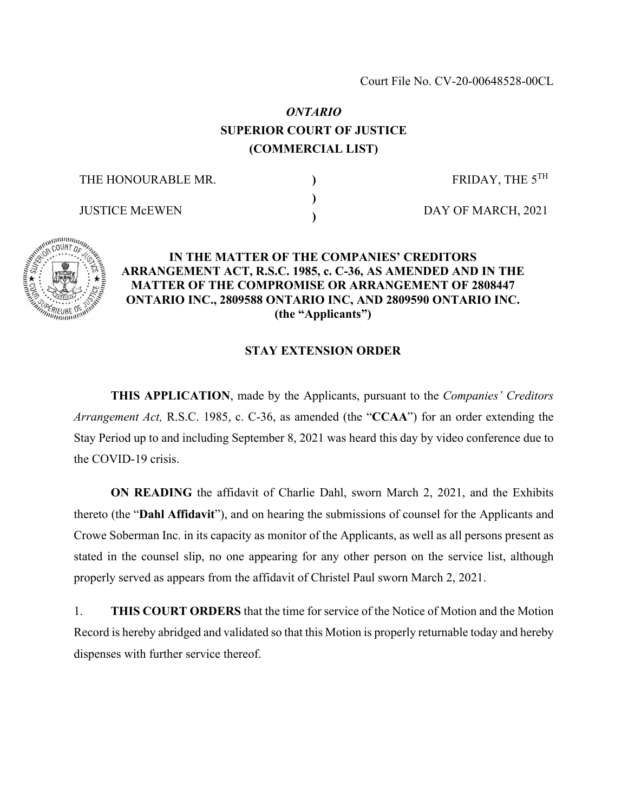# *ONTARIO* **SUPERIOR COURT OF JUSTICE (COMMERCIAL LIST)**

**) ) )**

THE HONOURABLE MR.

JUSTICE McEWEN

FRIDAY, THE  $5^{TH}$ 

DAY OF MARCH, 2021



### **IN THE MATTER OF THE COMPANIES' CREDITORS ARRANGEMENT ACT, R.S.C. 1985, c. C-36, AS AMENDED AND IN THE MATTER OF THE COMPROMISE OR ARRANGEMENT OF 2808447 ONTARIO INC., 2809588 ONTARIO INC, AND 2809590 ONTARIO INC. (the "Applicants")**

#### **STAY EXTENSION ORDER**

**THIS APPLICATION**, made by the Applicants, pursuant to the *Companies' Creditors Arrangement Act,* R.S.C. 1985, c. C-36, as amended (the "**CCAA**") for an order extending the Stay Period up to and including September 8, 2021 was heard this day by video conference due to the COVID-19 crisis.

**ON READING** the affidavit of Charlie Dahl, sworn March 2, 2021, and the Exhibits thereto (the "**Dahl Affidavit**"), and on hearing the submissions of counsel for the Applicants and Crowe Soberman Inc. in its capacity as monitor of the Applicants, as well as all persons present as stated in the counsel slip, no one appearing for any other person on the service list, although properly served as appears from the affidavit of Christel Paul sworn March 2, 2021.

1. **THIS COURT ORDERS** that the time for service of the Notice of Motion and the Motion Record is hereby abridged and validated so that this Motion is properly returnable today and hereby dispenses with further service thereof.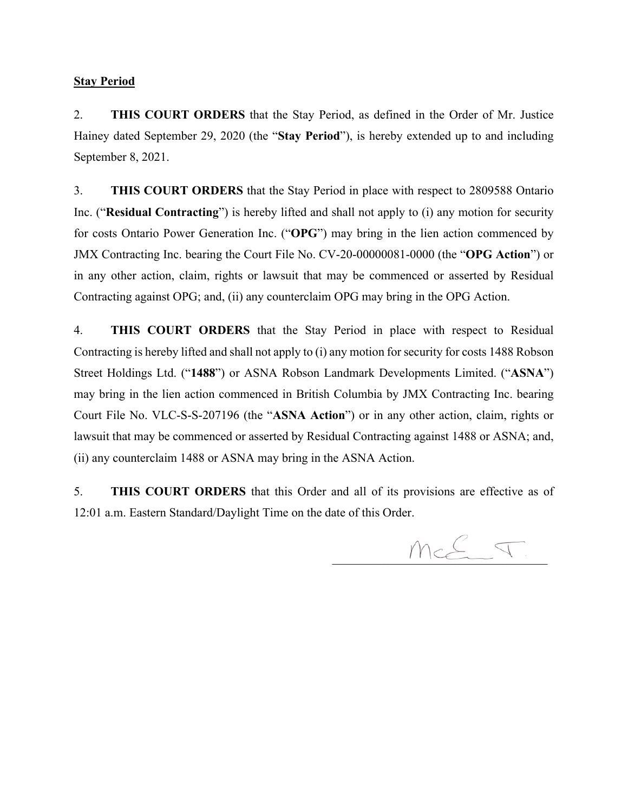#### **Stay Period**

2. **THIS COURT ORDERS** that the Stay Period, as defined in the Order of Mr. Justice Hainey dated September 29, 2020 (the "**Stay Period**"), is hereby extended up to and including September 8, 2021.

3. **THIS COURT ORDERS** that the Stay Period in place with respect to 2809588 Ontario Inc. ("**Residual Contracting**") is hereby lifted and shall not apply to (i) any motion for security for costs Ontario Power Generation Inc. ("**OPG**") may bring in the lien action commenced by JMX Contracting Inc. bearing the Court File No. CV-20-00000081-0000 (the "**OPG Action**") or in any other action, claim, rights or lawsuit that may be commenced or asserted by Residual Contracting against OPG; and, (ii) any counterclaim OPG may bring in the OPG Action.

4. **THIS COURT ORDERS** that the Stay Period in place with respect to Residual Contracting is hereby lifted and shall not apply to (i) any motion for security for costs 1488 Robson Street Holdings Ltd. ("**1488**") or ASNA Robson Landmark Developments Limited. ("**ASNA**") may bring in the lien action commenced in British Columbia by JMX Contracting Inc. bearing Court File No. VLC-S-S-207196 (the "**ASNA Action**") or in any other action, claim, rights or lawsuit that may be commenced or asserted by Residual Contracting against 1488 or ASNA; and, (ii) any counterclaim 1488 or ASNA may bring in the ASNA Action.

5. **THIS COURT ORDERS** that this Order and all of its provisions are effective as of 12:01 a.m. Eastern Standard/Daylight Time on the date of this Order.

 $Mc\leq T$ .